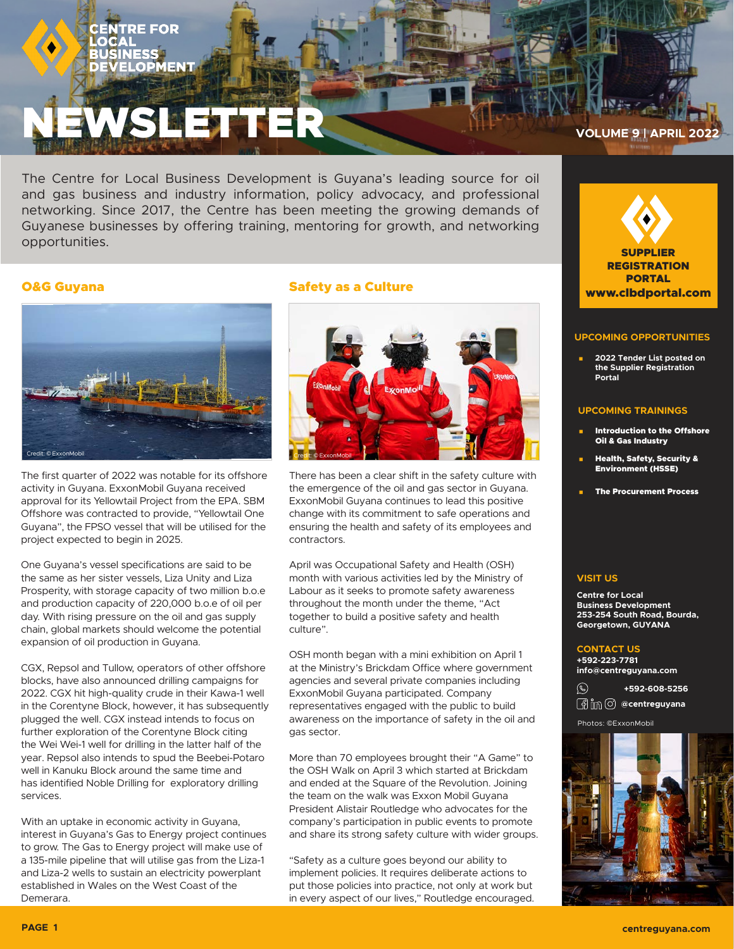# EWSLETTER **VOLUME 9 | APRIL 2022**

The Centre for Local Business Development is Guyana's leading source for oil and gas business and industry information, policy advocacy, and professional networking. Since 2017, the Centre has been meeting the growing demands of Guyanese businesses by offering training, mentoring for growth, and networking opportunities.

# O&G Guyana



The first quarter of 2022 was notable for its offshore activity in Guyana. ExxonMobil Guyana received approval for its Yellowtail Project from the EPA. SBM Offshore was contracted to provide, "Yellowtail One Guyana", the FPSO vessel that will be utilised for the project expected to begin in 2025.

One Guyana's vessel specifications are said to be the same as her sister vessels, Liza Unity and Liza Prosperity, with storage capacity of two million b.o.e and production capacity of 220,000 b.o.e of oil per day. With rising pressure on the oil and gas supply chain, global markets should welcome the potential expansion of oil production in Guyana.

CGX, Repsol and Tullow, operators of other offshore blocks, have also announced drilling campaigns for 2022. CGX hit high-quality crude in their Kawa-1 well in the Corentyne Block, however, it has subsequently plugged the well. CGX instead intends to focus on further exploration of the Corentyne Block citing the Wei Wei-1 well for drilling in the latter half of the year. Repsol also intends to spud the Beebei-Potaro well in Kanuku Block around the same time and has identified Noble Drilling for exploratory drilling services.

With an uptake in economic activity in Guyana, interest in Guyana's Gas to Energy project continues to grow. The Gas to Energy project will make use of a 135-mile pipeline that will utilise gas from the Liza-1 and Liza-2 wells to sustain an electricity powerplant established in Wales on the West Coast of the Demerara.

# Safety as a Culture



There has been a clear shift in the safety culture with the emergence of the oil and gas sector in Guyana. ExxonMobil Guyana continues to lead this positive change with its commitment to safe operations and ensuring the health and safety of its employees and contractors.

April was Occupational Safety and Health (OSH) month with various activities led by the Ministry of Labour as it seeks to promote safety awareness throughout the month under the theme, "Act together to build a positive safety and health culture".

OSH month began with a mini exhibition on April 1 at the Ministry's Brickdam Office where government agencies and several private companies including ExxonMobil Guyana participated. Company representatives engaged with the public to build awareness on the importance of safety in the oil and gas sector.

More than 70 employees brought their "A Game" to the OSH Walk on April 3 which started at Brickdam and ended at the Square of the Revolution. Joining the team on the walk was Exxon Mobil Guyana President Alistair Routledge who advocates for the company's participation in public events to promote and share its strong safety culture with wider groups.

"Safety as a culture goes beyond our ability to implement policies. It requires deliberate actions to put those policies into practice, not only at work but in every aspect of our lives," Routledge encouraged.



## **UPCOMING OPPORTUNITIES**

 **2022 Tender List posted on the Supplier Registration Portal**

### **UPCOMING TRAININGS**

- Introduction to the Offshore Oil & Gas Industry
- Health, Safety, Security & Environment (HSSE)
- The Procurement Process

## **VISIT US**

**Centre for Local Business Development 253-254 South Road, Bourda, Georgetown, GUYANA**

### **CONTACT US**

**+592-223-7781 info@centreguyana.com**

 $\circledS$ **+592-608-5256** *<b>@im ©* @centreguyana

Photos: ©ExxonMobil